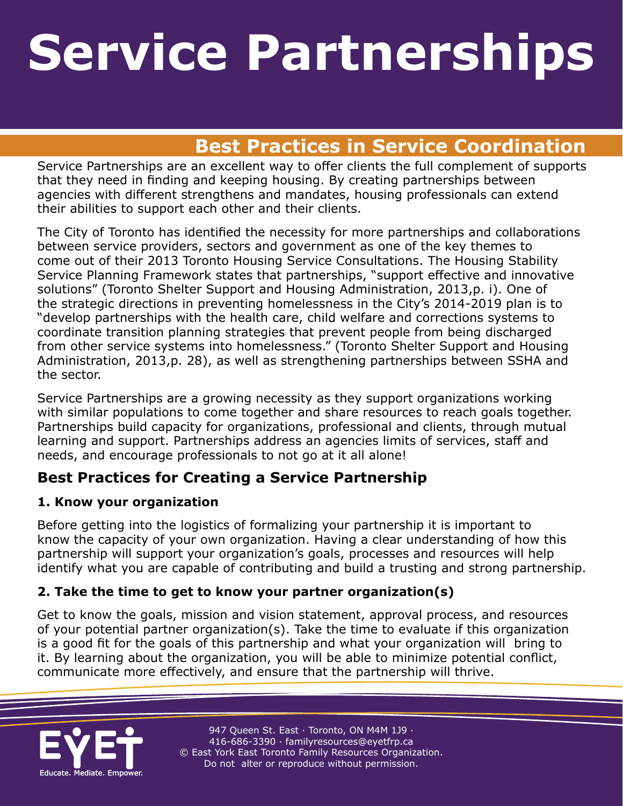### **Service Partnerships Wice Partnersh Service Partnerships**

## **A Rest Practices in Service Coordination**

Service Partnerships are an excellent way to offer clients the full complement of supports that they need in finding and keeping housing. By creating partnerships between agencies with different strengthens and mandates, housing professionals can extend their abilities to support each other and their clients.

The City of Toronto has identified the necessity for more partnerships and collaborations between service providers, sectors and government as one of the key themes to come out of their 2013 Toronto Housing Service Consultations. The Housing Stability Service Planning Framework states that partnerships, "support effective and innovative solutions" (Toronto Shelter Support and Housing Administration, 2013,p. i). One of the strategic directions in preventing homelessness in the City's 2014-2019 plan is to "develop partnerships with the health care, child welfare and corrections systems to coordinate transition planning strategies that prevent people from being discharged from other service systems into homelessness." (Toronto Shelter Support and Housing Administration, 2013,p. 28), as well as strengthening partnerships between SSHA and the sector.

Service Partnerships are a growing necessity as they support organizations working with similar populations to come together and share resources to reach goals together. Partnerships build capacity for organizations, professional and clients, through mutual learning and support. Partnerships address an agencies limits of services, staff and needs, and encourage professionals to not go at it all alone!

### **Best Practices for Creating a Service Partnership**

#### **1. Know your organization**

Before getting into the logistics of formalizing your partnership it is important to know the capacity of your own organization. Having a clear understanding of how this partnership will support your organization's goals, processes and resources will help identify what you are capable of contributing and build a trusting and strong partnership.

#### **2. Take the time to get to know your partner organization(s)**

Get to know the goals, mission and vision statement, approval process, and resources of your potential partner organization(s). Take the time to evaluate if this organization is a good fit for the goals of this partnership and what your organization will bring to it. By learning about the organization, you will be able to minimize potential conflict, communicate more effectively, and ensure that the partnership will thrive.



947 Queen St. East · Toronto, ON M4M 1J9 · 416-686-3390 · [familyresources@eyetfrp.ca](mailto:familyresources@eyetfrp.ca) © East York East Toronto Family Resources Organization. Do not alter or reproduce without permission.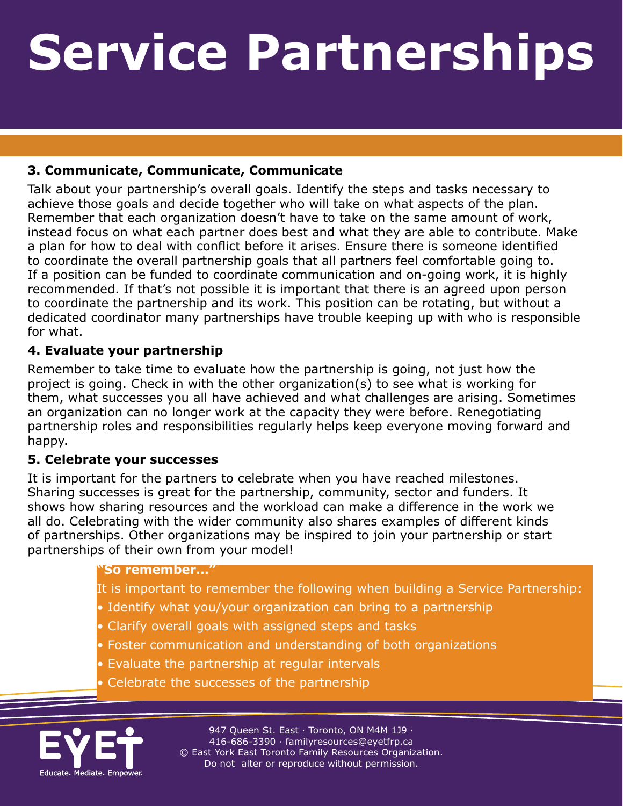# **Service Partnerships** Service Partnerships

**A Resource for Toronto Housing Professionals** 

#### **3. Communicate, Communicate, Communicate**

Talk about your partnership's overall goals. Identify the steps and tasks necessary to achieve those goals and decide together who will take on what aspects of the plan. Remember that each organization doesn't have to take on the same amount of work, instead focus on what each partner does best and what they are able to contribute. Make a plan for how to deal with conflict before it arises. Ensure there is someone identified to coordinate the overall partnership goals that all partners feel comfortable going to. If a position can be funded to coordinate communication and on-going work, it is highly recommended. If that's not possible it is important that there is an agreed upon person to coordinate the partnership and its work. This position can be rotating, but without a dedicated coordinator many partnerships have trouble keeping up with who is responsible for what.

#### **4. Evaluate your partnership**

Remember to take time to evaluate how the partnership is going, not just how the project is going. Check in with the other organization(s) to see what is working for them, what successes you all have achieved and what challenges are arising. Sometimes an organization can no longer work at the capacity they were before. Renegotiating partnership roles and responsibilities regularly helps keep everyone moving forward and happy.

#### **5. Celebrate your successes**

It is important for the partners to celebrate when you have reached milestones. Sharing successes is great for the partnership, community, sector and funders. It shows how sharing resources and the workload can make a difference in the work we all do. Celebrating with the wider community also shares examples of different kinds of partnerships. Other organizations may be inspired to join your partnership or start partnerships of their own from your model!

#### **"So remember…"**

- It is important to remember the following when building a Service Partnership:
- Identify what you/your organization can bring to a partnership
- Clarify overall goals with assigned steps and tasks
- Foster communication and understanding of both organizations
- Evaluate the partnership at regular intervals
- Celebrate the successes of the partnership



947 Queen St. East · Toronto, ON M4M 1J9 · 416-686-3390 · [familyresources@eyetfrp.ca](mailto:familyresources@eyetfrp.ca) © East York East Toronto Family Resources Organization. Do not alter or reproduce without permission.